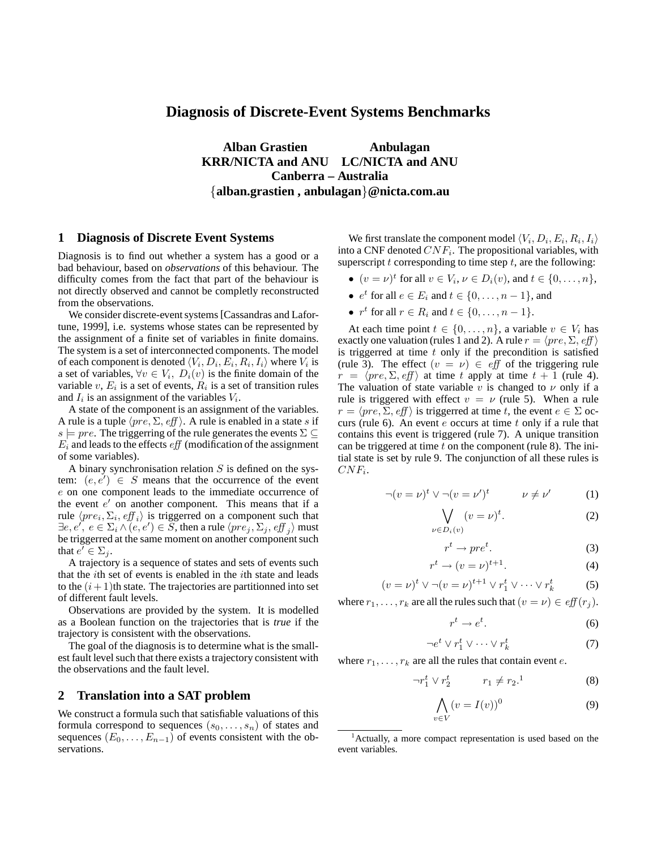# **Diagnosis of Discrete-Event Systems Benchmarks**

**Alban Grastien Anbulagan KRR/NICTA and ANU LC/NICTA and ANU Canberra – Australia** {**alban.grastien , anbulagan**}**@nicta.com.au**

### **1 Diagnosis of Discrete Event Systems**

Diagnosis is to find out whether a system has a good or a bad behaviour, based on *observations* of this behaviour. The difficulty comes from the fact that part of the behaviour is not directly observed and cannot be completly reconstructed from the observations.

We consider discrete-event systems[Cassandras and Lafortune, 1999], i.e. systems whose states can be represented by the assignment of a finite set of variables in finite domains. The system is a set of interconnected components. The model of each component is denoted  $\langle V_i, D_i, E_i, R_i, I_i \rangle$  where  $V_i$  is a set of variables,  $\forall v \in V_i$ ,  $D_i(v)$  is the finite domain of the variable v,  $E_i$  is a set of events,  $R_i$  is a set of transition rules and  $I_i$  is an assignment of the variables  $V_i$ .

A state of the component is an assignment of the variables. A rule is a tuple  $\langle pre, \Sigma, eff \rangle$ . A rule is enabled in a state s if s  $\models pre$ . The triggerring of the rule generates the events  $\Sigma \subseteq$  $E_i$  and leads to the effects  $\sqrt{eff}$  (modification of the assignment of some variables).

A binary synchronisation relation  $S$  is defined on the system:  $(e, e') \in S$  means that the occurrence of the event e on one component leads to the immediate occurrence of the event  $e'$  on another component. This means that if a rule  $\langle pre_i, \Sigma_i, eff_i \rangle$  is triggerred on a component such that  $\exists e, e',\ e\in \Sigma_i \land (e,e')\in \widetilde{S},$  then a rule  $\langle pre_j, \Sigma_j, \mathit{eff}_j \rangle$  must be triggerred at the same moment on another component such that  $e' \in \Sigma_j$ .

A trajectory is a sequence of states and sets of events such that the ith set of events is enabled in the ith state and leads to the  $(i + 1)$ th state. The trajectories are partitionned into set of different fault levels.

Observations are provided by the system. It is modelled as a Boolean function on the trajectories that is *true* if the trajectory is consistent with the observations.

The goal of the diagnosis is to determine what is the smallest fault level such that there exists a trajectory consistent with the observations and the fault level.

## **2 Translation into a SAT problem**

We construct a formula such that satisfiable valuations of this formula correspond to sequences  $(s_0, \ldots, s_n)$  of states and sequences  $(E_0, \ldots, E_{n-1})$  of events consistent with the observations.

We first translate the component model  $\langle V_i, D_i, E_i, R_i, I_i \rangle$ into a CNF denoted  $CNF_i$ . The propositional variables, with superscript  $t$  corresponding to time step  $t$ , are the following:

- $(v = \nu)^t$  for all  $v \in V_i$ ,  $\nu \in D_i(v)$ , and  $t \in \{0, \ldots, n\}$ ,
- $e^t$  for all  $e \in E_i$  and  $t \in \{0, \ldots, n-1\}$ , and
- $r^t$  for all  $r \in R_i$  and  $t \in \{0, \ldots, n-1\}.$

At each time point  $t \in \{0, \ldots, n\}$ , a variable  $v \in V_i$  has exactly one valuation (rules 1 and 2). A rule  $r = \langle pre, \Sigma, eff \rangle$ is triggerred at time  $t$  only if the precondition is satisfied (rule 3). The effect  $(v = v) \in eff$  of the triggering rule  $r = \langle pre, \Sigma, eff \rangle$  at time t apply at time  $t + 1$  (rule 4). The valuation of state variable v is changed to  $\nu$  only if a rule is triggered with effect  $v = \nu$  (rule 5). When a rule  $r = \langle pre, \Sigma, eff \rangle$  is triggerred at time t, the event  $e \in \Sigma$  occurs (rule 6). An event  $e$  occurs at time  $t$  only if a rule that contains this event is triggered (rule 7). A unique transition can be triggered at time  $t$  on the component (rule 8). The initial state is set by rule 9. The conjunction of all these rules is  $CNF_i$ .

$$
\neg (v = \nu)^t \lor \neg (v = \nu')^t \qquad \nu \neq \nu' \qquad (1)
$$

$$
\bigvee_{\nu \in D_i(v)} (v = \nu)^t.
$$
 (2)

$$
r^t \to pre^t. \tag{3}
$$

$$
r^t \to (v = \nu)^{t+1}.\tag{4}
$$

$$
(v = \nu)^t \vee \neg (v = \nu)^{t+1} \vee r_1^t \vee \dots \vee r_k^t \tag{5}
$$

where  $r_1, \ldots, r_k$  are all the rules such that  $(v = \nu) \in eff(r_i)$ .

$$
r^t \to e^t. \tag{6}
$$

$$
\neg e^t \lor r_1^t \lor \dots \lor r_k^t \tag{7}
$$

where  $r_1, \ldots, r_k$  are all the rules that contain event e.

$$
\neg r_1^t \lor r_2^t \qquad r_1 \neq r_2. \tag{8}
$$

$$
\bigwedge_{v \in V} (v = I(v))^0 \tag{9}
$$

<sup>1</sup>Actually, a more compact representation is used based on the event variables.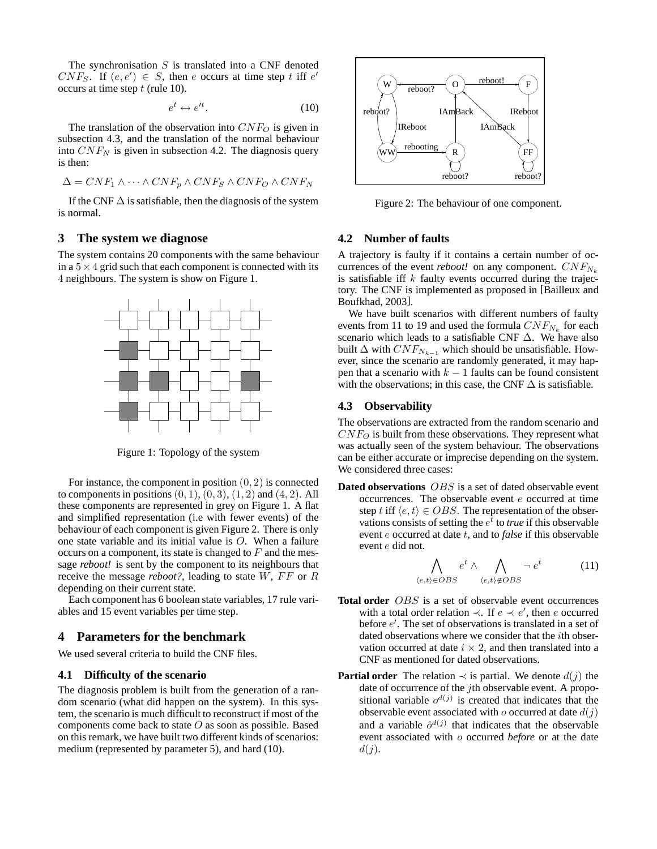The synchronisation  $S$  is translated into a CNF denoted  $CNF_S$ . If  $(e, e') \in S$ , then e occurs at time step t iff  $e'$ occurs at time step  $t$  (rule 10).

$$
e^t \leftrightarrow e'^t. \tag{10}
$$

The translation of the observation into  $CNF_O$  is given in subsection 4.3, and the translation of the normal behaviour into  $CNF_N$  is given in subsection 4.2. The diagnosis query is then:

$$
\Delta = CNF_1 \wedge \cdots \wedge CNF_p \wedge CNF_S \wedge CNF_O \wedge CNF_N
$$

If the CNF  $\Delta$  is satisfiable, then the diagnosis of the system is normal.

### **3 The system we diagnose**

The system contains 20 components with the same behaviour in a  $5 \times 4$  grid such that each component is connected with its 4 neighbours. The system is show on Figure 1.



Figure 1: Topology of the system

For instance, the component in position  $(0, 2)$  is connected to components in positions  $(0, 1)$ ,  $(0, 3)$ ,  $(1, 2)$  and  $(4, 2)$ . All these components are represented in grey on Figure 1. A flat and simplified representation (i.e with fewer events) of the behaviour of each component is given Figure 2. There is only one state variable and its initial value is O. When a failure occurs on a component, its state is changed to  $F$  and the message *reboot!* is sent by the component to its neighbours that receive the message  $reboot$ ?, leading to state  $W$ ,  $FF$  or  $R$ depending on their current state.

Each component has 6 boolean state variables, 17 rule variables and 15 event variables per time step.

#### **4 Parameters for the benchmark**

We used several criteria to build the CNF files.

#### **4.1 Difficulty of the scenario**

The diagnosis problem is built from the generation of a random scenario (what did happen on the system). In this system, the scenario is much difficult to reconstruct if most of the components come back to state  $O$  as soon as possible. Based on this remark, we have built two different kinds of scenarios: medium (represented by parameter 5), and hard (10).



Figure 2: The behaviour of one component.

#### **4.2 Number of faults**

A trajectory is faulty if it contains a certain number of occurrences of the event *reboot!* on any component.  $CNF_{N_k}$ is satisfiable iff  $k$  faulty events occurred during the trajectory. The CNF is implemented as proposed in [Bailleux and Boufkhad, 2003].

We have built scenarios with different numbers of faulty events from 11 to 19 and used the formula  $CNF_{N_k}$  for each scenario which leads to a satisfiable CNF ∆. We have also built  $\Delta$  with  $CNF_{N_{k-1}}$  which should be unsatisfiable. However, since the scenario are randomly generated, it may happen that a scenario with  $k - 1$  faults can be found consistent with the observations; in this case, the CNF  $\Delta$  is satisfiable.

#### **4.3 Observability**

The observations are extracted from the random scenario and  $CNF<sub>O</sub>$  is built from these observations. They represent what was actually seen of the system behaviour. The observations can be either accurate or imprecise depending on the system. We considered three cases:

**Dated observations** OBS is a set of dated observable event occurrences. The observable event  $e$  occurred at time step t iff  $\langle e, t \rangle \in OBS$ . The representation of the observations consists of setting the  $e^{\overline{t}}$  to *true* if this observable event e occurred at date t, and to *false* if this observable event e did not.

$$
\bigwedge_{\langle e,t\rangle \in OBS} e^t \wedge \bigwedge_{\langle e,t\rangle \notin OBS} \neg e^t \qquad (11)
$$

- **Total order** OBS is a set of observable event occurrences with a total order relation  $\prec$ . If  $e \prec e'$ , then e occurred before  $e'$ . The set of observations is translated in a set of dated observations where we consider that the *i*th observation occurred at date  $i \times 2$ , and then translated into a CNF as mentioned for dated observations.
- **Partial order** The relation  $\prec$  is partial. We denote  $d(j)$  the date of occurrence of the *j*th observable event. A propositional variable  $o^{d(j)}$  is created that indicates that the observable event associated with  $\varrho$  occurred at date  $d(i)$ and a variable  $\hat{o}^{d(j)}$  that indicates that the observable event associated with o occurred *before* or at the date  $d(j).$